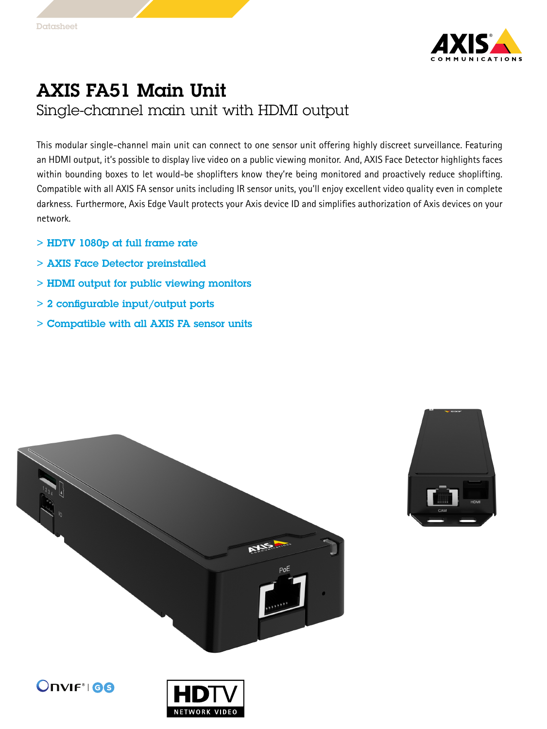

## AXIS FA51 Main Unit Single-channel main unit with HDMI output

This modular single-channel main unit can connect to one sensor unit offering highly discreet surveillance. Featuring an HDMI output, it's possible to display live video on <sup>a</sup> public viewing monitor. And, AXIS Face Detector highlights faces within bounding boxes to let would-be shoplifters know they're being monitored and proactively reduce shoplifting. Compatible with all AXIS FA sensor units including IR sensor units, you'll enjoy excellent video quality even in complete darkness. Furthermore, Axis Edge Vault protects your Axis device ID and simplifies authorization of Axis devices on your network.

- $>$  HDTV 1080p at full frame rate
- > AXIS Face Detector preinstalled
- > HDMI output for public viewing monitors
- > 2 configurable input/output ports
- > Compatible with all AXIS FA sensor units